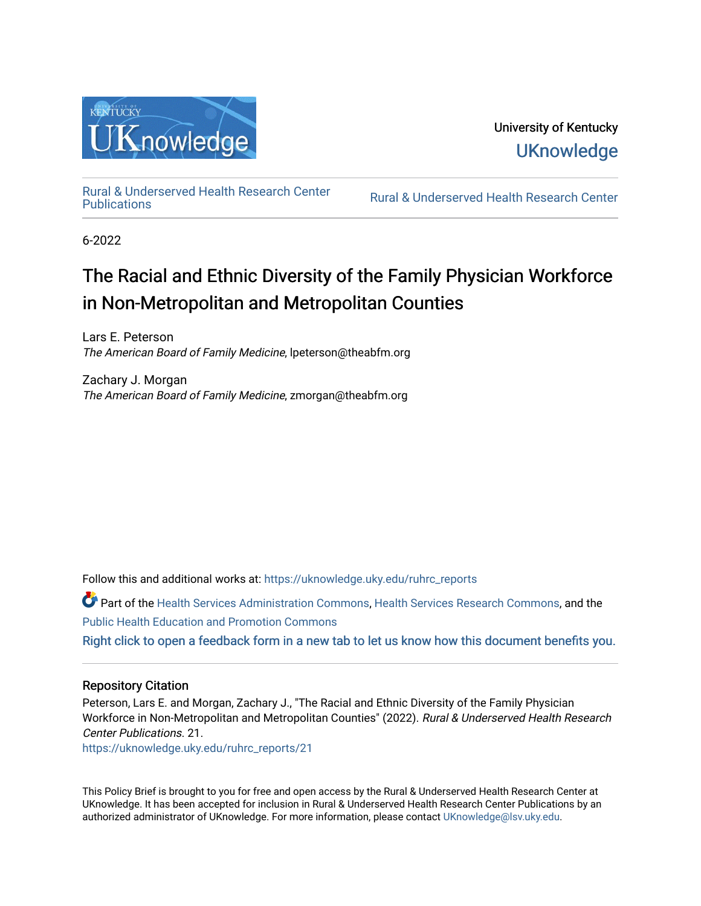

University of Kentucky **UKnowledge** 

[Rural & Underserved Health Research Center](https://uknowledge.uky.edu/ruhrc_reports) 

Rural & Underserved Health Research Center

6-2022

# The Racial and Ethnic Diversity of the Family Physician Workforce in Non-Metropolitan and Metropolitan Counties

Lars E. Peterson The American Board of Family Medicine, lpeterson@theabfm.org

Zachary J. Morgan The American Board of Family Medicine, zmorgan@theabfm.org

Follow this and additional works at: [https://uknowledge.uky.edu/ruhrc\\_reports](https://uknowledge.uky.edu/ruhrc_reports?utm_source=uknowledge.uky.edu%2Fruhrc_reports%2F21&utm_medium=PDF&utm_campaign=PDFCoverPages) 

Part of the [Health Services Administration Commons,](https://network.bepress.com/hgg/discipline/747?utm_source=uknowledge.uky.edu%2Fruhrc_reports%2F21&utm_medium=PDF&utm_campaign=PDFCoverPages) [Health Services Research Commons,](https://network.bepress.com/hgg/discipline/816?utm_source=uknowledge.uky.edu%2Fruhrc_reports%2F21&utm_medium=PDF&utm_campaign=PDFCoverPages) and the [Public Health Education and Promotion Commons](https://network.bepress.com/hgg/discipline/743?utm_source=uknowledge.uky.edu%2Fruhrc_reports%2F21&utm_medium=PDF&utm_campaign=PDFCoverPages)  [Right click to open a feedback form in a new tab to let us know how this document benefits you.](https://uky.az1.qualtrics.com/jfe/form/SV_9mq8fx2GnONRfz7)

## Repository Citation

Peterson, Lars E. and Morgan, Zachary J., "The Racial and Ethnic Diversity of the Family Physician Workforce in Non-Metropolitan and Metropolitan Counties" (2022). Rural & Underserved Health Research Center Publications. 21.

[https://uknowledge.uky.edu/ruhrc\\_reports/21](https://uknowledge.uky.edu/ruhrc_reports/21?utm_source=uknowledge.uky.edu%2Fruhrc_reports%2F21&utm_medium=PDF&utm_campaign=PDFCoverPages)

This Policy Brief is brought to you for free and open access by the Rural & Underserved Health Research Center at UKnowledge. It has been accepted for inclusion in Rural & Underserved Health Research Center Publications by an authorized administrator of UKnowledge. For more information, please contact [UKnowledge@lsv.uky.edu](mailto:UKnowledge@lsv.uky.edu).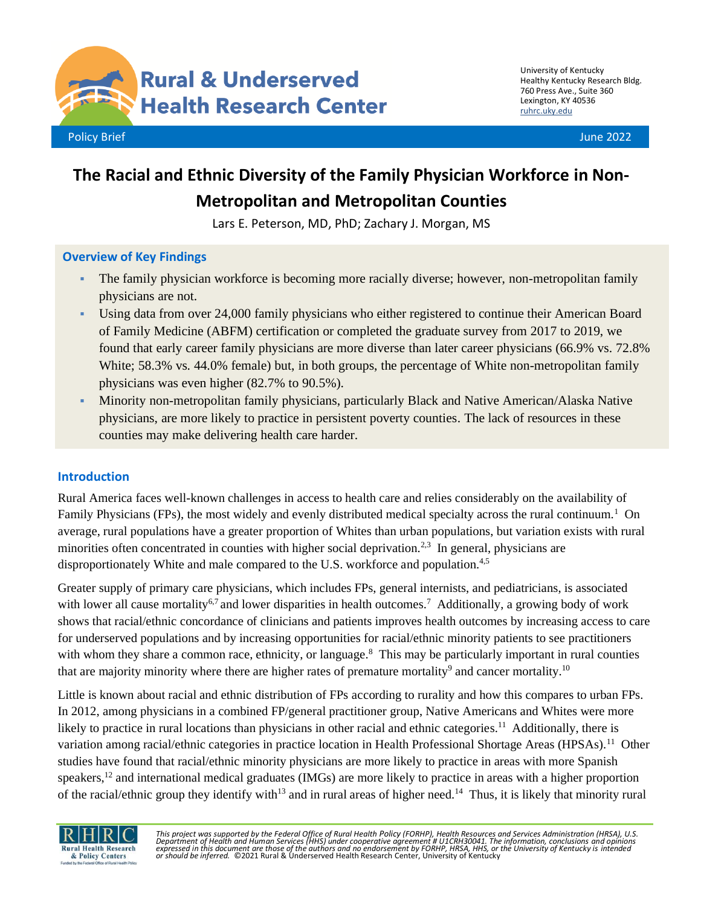

University of Kentucky Healthy Kentucky Research Bldg. 760 Press Ave., Suite 360 Lexington, KY 40536 [ruhrc.uky.edu](http://ruhrc.uky.edu/)

# **The Racial and Ethnic Diversity of the Family Physician Workforce in Non-Metropolitan and Metropolitan Counties**

Lars E. Peterson, MD, PhD; Zachary J. Morgan, MS

## **Overview of Key Findings**

- The family physician workforce is becoming more racially diverse; however, non-metropolitan family physicians are not.
- Using data from over 24,000 family physicians who either registered to continue their American Board of Family Medicine (ABFM) certification or completed the graduate survey from 2017 to 2019, we found that early career family physicians are more diverse than later career physicians (66.9% vs. 72.8% White; 58.3% vs. 44.0% female) but, in both groups, the percentage of White non-metropolitan family physicians was even higher (82.7% to 90.5%).
- Minority non-metropolitan family physicians, particularly Black and Native American/Alaska Native physicians, are more likely to practice in persistent poverty counties. The lack of resources in these counties may make delivering health care harder.

## **Introduction**

Rural America faces well-known challenges in access to health care and relies considerably on the availability of Family Physicians (FPs), the most widely and evenly distributed medical specialty across the rural continuum.<sup>1</sup> On average, rural populations have a greater proportion of Whites than urban populations, but variation exists with rural minorities often concentrated in counties with higher social deprivation.<sup>2,3</sup> In general, physicians are disproportionately White and male compared to the U.S. workforce and population.4,5

Greater supply of primary care physicians, which includes FPs, general internists, and pediatricians, is associated with lower all cause mortality<sup>6,7</sup> and lower disparities in health outcomes.<sup>7</sup> Additionally, a growing body of work shows that racial/ethnic concordance of clinicians and patients improves health outcomes by increasing access to care for underserved populations and by increasing opportunities for racial/ethnic minority patients to see practitioners with whom they share a common race, ethnicity, or language.<sup>8</sup> This may be particularly important in rural counties that are majority minority where there are higher rates of premature mortality<sup>9</sup> and cancer mortality.<sup>10</sup>

Little is known about racial and ethnic distribution of FPs according to rurality and how this compares to urban FPs. In 2012, among physicians in a combined FP/general practitioner group, Native Americans and Whites were more likely to practice in rural locations than physicians in other racial and ethnic categories.<sup>11</sup> Additionally, there is variation among racial/ethnic categories in practice location in Health Professional Shortage Areas (HPSAs).<sup>11</sup> Other studies have found that racial/ethnic minority physicians are more likely to practice in areas with more Spanish speakers,<sup>12</sup> and international medical graduates (IMGs) are more likely to practice in areas with a higher proportion of the racial/ethnic group they identify with<sup>13</sup> and in rural areas of higher need.<sup>14</sup> Thus, it is likely that minority rural



*This project was supported by the Federal Office of Rural Health Policy (FORHP), Health Resources and Services Administration (HRSA), U.S.*  Department of Health and Human Services (HHS) under cooperative agreement # U1CRH30041. The information, conclusions and opinions<br>expressed in this document are those of the authors and no endorsement by FORHP, HRSA, HHS,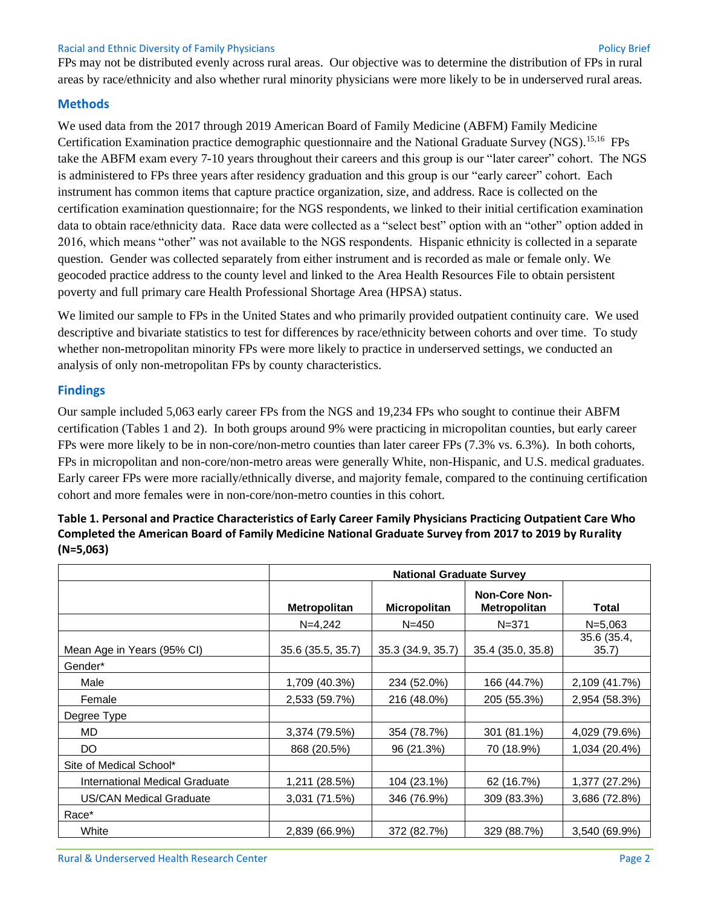#### Racial and Ethnic Diversity of Family Physicians Policy Brief

FPs may not be distributed evenly across rural areas. Our objective was to determine the distribution of FPs in rural areas by race/ethnicity and also whether rural minority physicians were more likely to be in underserved rural areas.

#### **Methods**

We used data from the 2017 through 2019 American Board of Family Medicine (ABFM) Family Medicine Certification Examination practice demographic questionnaire and the National Graduate Survey (NGS).15,16 FPs take the ABFM exam every 7-10 years throughout their careers and this group is our "later career" cohort. The NGS is administered to FPs three years after residency graduation and this group is our "early career" cohort. Each instrument has common items that capture practice organization, size, and address. Race is collected on the certification examination questionnaire; for the NGS respondents, we linked to their initial certification examination data to obtain race/ethnicity data. Race data were collected as a "select best" option with an "other" option added in 2016, which means "other" was not available to the NGS respondents. Hispanic ethnicity is collected in a separate question. Gender was collected separately from either instrument and is recorded as male or female only. We geocoded practice address to the county level and linked to the Area Health Resources File to obtain persistent poverty and full primary care Health Professional Shortage Area (HPSA) status.

We limited our sample to FPs in the United States and who primarily provided outpatient continuity care. We used descriptive and bivariate statistics to test for differences by race/ethnicity between cohorts and over time. To study whether non-metropolitan minority FPs were more likely to practice in underserved settings, we conducted an analysis of only non-metropolitan FPs by county characteristics.

#### **Findings**

Our sample included 5,063 early career FPs from the NGS and 19,234 FPs who sought to continue their ABFM certification (Tables 1 and 2). In both groups around 9% were practicing in micropolitan counties, but early career FPs were more likely to be in non-core/non-metro counties than later career FPs (7.3% vs. 6.3%). In both cohorts, FPs in micropolitan and non-core/non-metro areas were generally White, non-Hispanic, and U.S. medical graduates. Early career FPs were more racially/ethnically diverse, and majority female, compared to the continuing certification cohort and more females were in non-core/non-metro counties in this cohort.

|                                | <b>National Graduate Survey</b> |                     |                                             |                     |
|--------------------------------|---------------------------------|---------------------|---------------------------------------------|---------------------|
|                                | <b>Metropolitan</b>             | <b>Micropolitan</b> | <b>Non-Core Non-</b><br><b>Metropolitan</b> | Total               |
|                                | $N=4,242$                       | $N = 450$           | $N = 371$                                   | $N = 5,063$         |
| Mean Age in Years (95% CI)     | 35.6 (35.5, 35.7)               | 35.3 (34.9, 35.7)   | 35.4 (35.0, 35.8)                           | 35.6 (35.4,<br>35.7 |
| Gender*                        |                                 |                     |                                             |                     |
| Male                           | 1,709 (40.3%)                   | 234 (52.0%)         | 166 (44.7%)                                 | 2,109 (41.7%)       |
| Female                         | 2,533 (59.7%)                   | 216 (48.0%)         | 205 (55.3%)                                 | 2,954 (58.3%)       |
| Degree Type                    |                                 |                     |                                             |                     |
| MD.                            | 3,374 (79.5%)                   | 354 (78.7%)         | 301 (81.1%)                                 | 4,029 (79.6%)       |
| DO.                            | 868 (20.5%)                     | 96 (21.3%)          | 70 (18.9%)                                  | 1,034 (20.4%)       |
| Site of Medical School*        |                                 |                     |                                             |                     |
| International Medical Graduate | 1,211 (28.5%)                   | 104 (23.1%)         | 62 (16.7%)                                  | 1,377 (27.2%)       |
| <b>US/CAN Medical Graduate</b> | 3,031 (71.5%)                   | 346 (76.9%)         | 309 (83.3%)                                 | 3,686 (72.8%)       |
| Race*                          |                                 |                     |                                             |                     |
| White                          | 2,839 (66.9%)                   | 372 (82.7%)         | 329 (88.7%)                                 | 3,540 (69.9%)       |

## **Table 1. Personal and Practice Characteristics of Early Career Family Physicians Practicing Outpatient Care Who Completed the American Board of Family Medicine National Graduate Survey from 2017 to 2019 by Rurality (N=5,063)**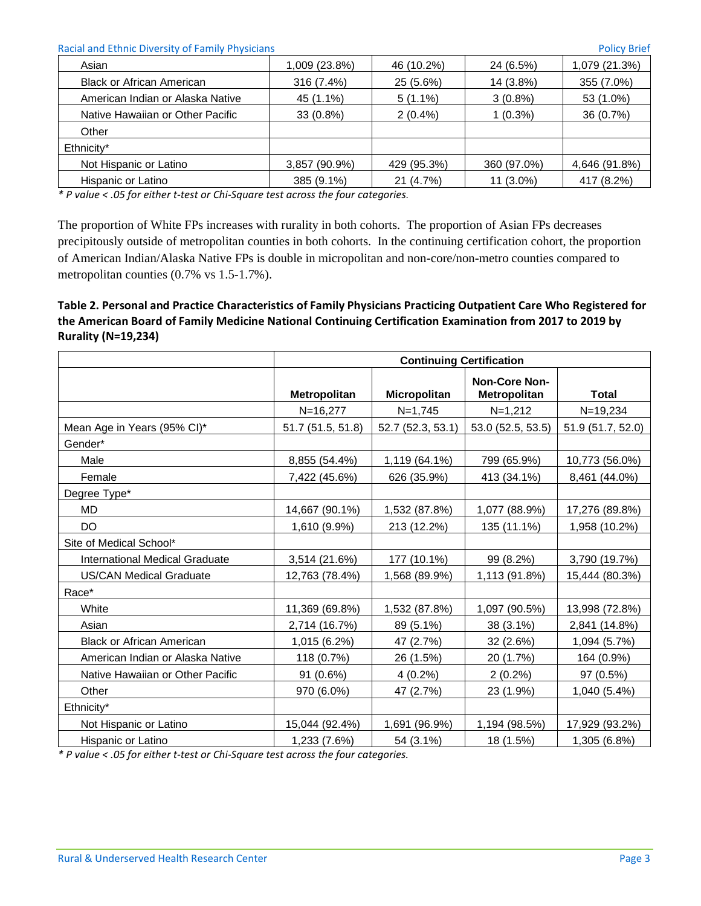| Racial and Ethnic Diversity of Family Physicians |               |             | <b>Policy Brief</b> |               |  |
|--------------------------------------------------|---------------|-------------|---------------------|---------------|--|
| Asian                                            | 1,009 (23.8%) | 46 (10.2%)  | 24 (6.5%)           | 1,079 (21.3%) |  |
| <b>Black or African American</b>                 | 316 (7.4%)    | 25 (5.6%)   | 14 (3.8%)           | 355 (7.0%)    |  |
| American Indian or Alaska Native                 | 45 (1.1%)     | $5(1.1\%)$  | $3(0.8\%)$          | 53 (1.0%)     |  |
| Native Hawaiian or Other Pacific                 | $33(0.8\%)$   | $2(0.4\%)$  | $1(0.3\%)$          | 36 (0.7%)     |  |
| Other                                            |               |             |                     |               |  |
| Ethnicity*                                       |               |             |                     |               |  |
| Not Hispanic or Latino                           | 3,857 (90.9%) | 429 (95.3%) | 360 (97.0%)         | 4,646 (91.8%) |  |
| Hispanic or Latino                               | 385 (9.1%)    | 21 (4.7%)   | 11 (3.0%)           | 417 (8.2%)    |  |

*\* P value < .05 for either t-test or Chi-Square test across the four categories.*

The proportion of White FPs increases with rurality in both cohorts. The proportion of Asian FPs decreases precipitously outside of metropolitan counties in both cohorts. In the continuing certification cohort, the proportion of American Indian/Alaska Native FPs is double in micropolitan and non-core/non-metro counties compared to metropolitan counties (0.7% vs 1.5-1.7%).

## **Table 2. Personal and Practice Characteristics of Family Physicians Practicing Outpatient Care Who Registered for the American Board of Family Medicine National Continuing Certification Examination from 2017 to 2019 by Rurality (N=19,234)**

|                                  | <b>Continuing Certification</b> |                   |                                      |                   |
|----------------------------------|---------------------------------|-------------------|--------------------------------------|-------------------|
|                                  | Metropolitan                    | Micropolitan      | <b>Non-Core Non-</b><br>Metropolitan | <b>Total</b>      |
|                                  | $N = 16,277$                    | $N=1,745$         | $N=1,212$                            | $N = 19,234$      |
| Mean Age in Years (95% CI)*      | 51.7 (51.5, 51.8)               | 52.7 (52.3, 53.1) | 53.0 (52.5, 53.5)                    | 51.9 (51.7, 52.0) |
| Gender*                          |                                 |                   |                                      |                   |
| Male                             | 8,855 (54.4%)                   | 1,119 (64.1%)     | 799 (65.9%)                          | 10,773 (56.0%)    |
| Female                           | 7,422 (45.6%)                   | 626 (35.9%)       | 413 (34.1%)                          | 8,461 (44.0%)     |
| Degree Type*                     |                                 |                   |                                      |                   |
| MD                               | 14,667 (90.1%)                  | 1,532 (87.8%)     | 1,077 (88.9%)                        | 17,276 (89.8%)    |
| <b>DO</b>                        | 1,610 (9.9%)                    | 213 (12.2%)       | 135 (11.1%)                          | 1,958 (10.2%)     |
| Site of Medical School*          |                                 |                   |                                      |                   |
| International Medical Graduate   | 3,514 (21.6%)                   | 177 (10.1%)       | 99 (8.2%)                            | 3,790 (19.7%)     |
| <b>US/CAN Medical Graduate</b>   | 12,763 (78.4%)                  | 1,568 (89.9%)     | 1,113 (91.8%)                        | 15,444 (80.3%)    |
| Race*                            |                                 |                   |                                      |                   |
| White                            | 11,369 (69.8%)                  | 1,532 (87.8%)     | 1,097 (90.5%)                        | 13,998 (72.8%)    |
| Asian                            | 2,714 (16.7%)                   | 89 (5.1%)         | 38 (3.1%)                            | 2,841 (14.8%)     |
| <b>Black or African American</b> | 1,015 (6.2%)                    | 47 (2.7%)         | 32 (2.6%)                            | 1,094 (5.7%)      |
| American Indian or Alaska Native | 118 (0.7%)                      | 26 (1.5%)         | 20 (1.7%)                            | 164 (0.9%)        |
| Native Hawaiian or Other Pacific | 91 (0.6%)                       | $4(0.2\%)$        | $2(0.2\%)$                           | 97 (0.5%)         |
| Other                            | 970 (6.0%)                      | 47 (2.7%)         | 23 (1.9%)                            | 1,040 (5.4%)      |
| Ethnicity*                       |                                 |                   |                                      |                   |
| Not Hispanic or Latino           | 15,044 (92.4%)                  | 1,691 (96.9%)     | 1,194 (98.5%)                        | 17,929 (93.2%)    |
| Hispanic or Latino               | 1,233 (7.6%)                    | 54 (3.1%)         | 18 (1.5%)                            | 1,305 (6.8%)      |

*\* P value < .05 for either t-test or Chi-Square test across the four categories.*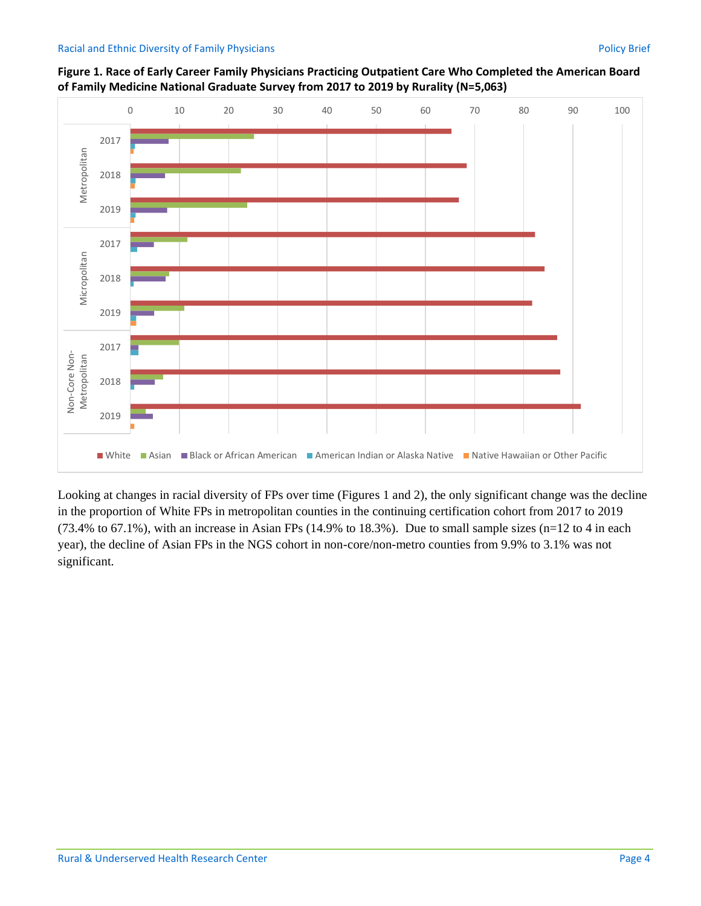

**Figure 1. Race of Early Career Family Physicians Practicing Outpatient Care Who Completed the American Board of Family Medicine National Graduate Survey from 2017 to 2019 by Rurality (N=5,063)**

Looking at changes in racial diversity of FPs over time (Figures 1 and 2), the only significant change was the decline in the proportion of White FPs in metropolitan counties in the continuing certification cohort from 2017 to 2019 (73.4% to 67.1%), with an increase in Asian FPs (14.9% to 18.3%). Due to small sample sizes (n=12 to 4 in each year), the decline of Asian FPs in the NGS cohort in non-core/non-metro counties from 9.9% to 3.1% was not significant.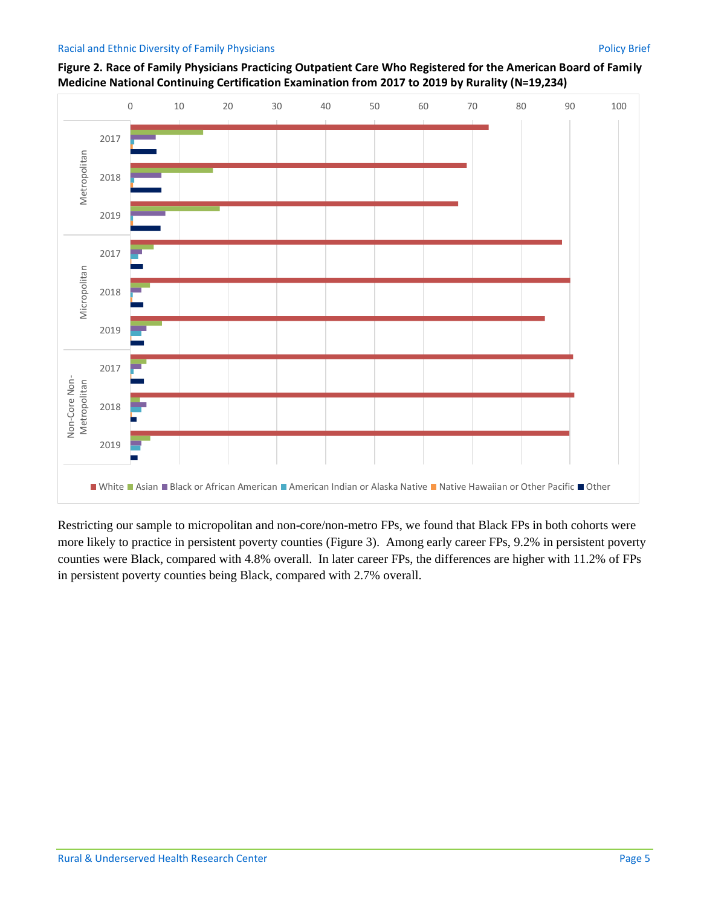#### Racial and Ethnic Diversity of Family Physicians Policy Brief



**Figure 2. Race of Family Physicians Practicing Outpatient Care Who Registered for the American Board of Family Medicine National Continuing Certification Examination from 2017 to 2019 by Rurality (N=19,234)**

Restricting our sample to micropolitan and non-core/non-metro FPs, we found that Black FPs in both cohorts were more likely to practice in persistent poverty counties (Figure 3). Among early career FPs, 9.2% in persistent poverty counties were Black, compared with 4.8% overall. In later career FPs, the differences are higher with 11.2% of FPs in persistent poverty counties being Black, compared with 2.7% overall.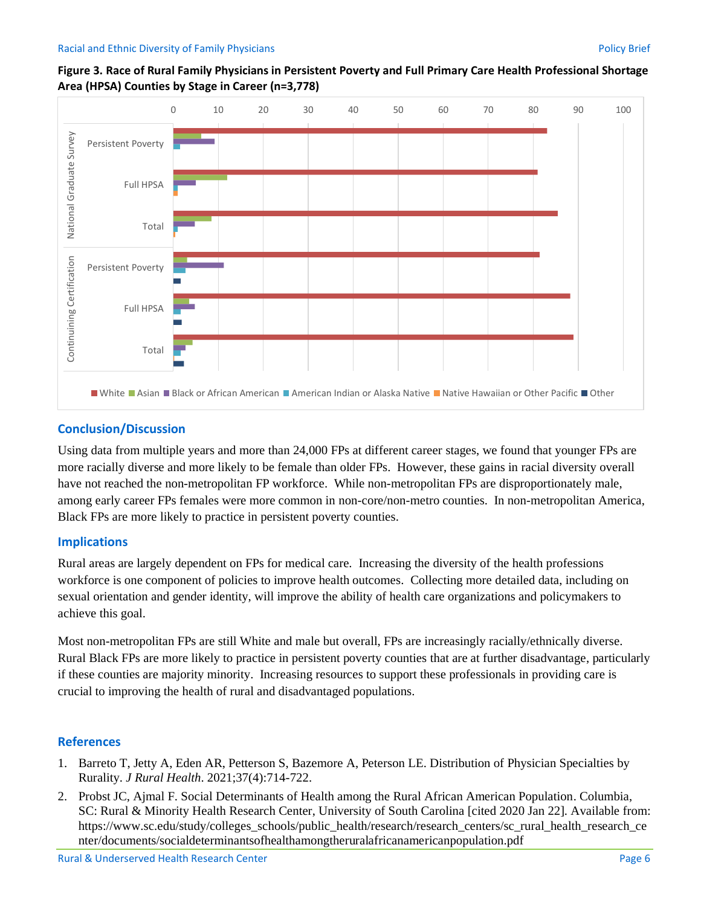

#### **Figure 3. Race of Rural Family Physicians in Persistent Poverty and Full Primary Care Health Professional Shortage Area (HPSA) Counties by Stage in Career (n=3,778)**

## **Conclusion/Discussion**

Using data from multiple years and more than 24,000 FPs at different career stages, we found that younger FPs are more racially diverse and more likely to be female than older FPs. However, these gains in racial diversity overall have not reached the non-metropolitan FP workforce. While non-metropolitan FPs are disproportionately male, among early career FPs females were more common in non-core/non-metro counties. In non-metropolitan America, Black FPs are more likely to practice in persistent poverty counties.

#### **Implications**

Rural areas are largely dependent on FPs for medical care. Increasing the diversity of the health professions workforce is one component of policies to improve health outcomes. Collecting more detailed data, including on sexual orientation and gender identity, will improve the ability of health care organizations and policymakers to achieve this goal.

Most non-metropolitan FPs are still White and male but overall, FPs are increasingly racially/ethnically diverse. Rural Black FPs are more likely to practice in persistent poverty counties that are at further disadvantage, particularly if these counties are majority minority. Increasing resources to support these professionals in providing care is crucial to improving the health of rural and disadvantaged populations.

#### **References**

- 1. Barreto T, Jetty A, Eden AR, Petterson S, Bazemore A, Peterson LE. Distribution of Physician Specialties by Rurality. *J Rural Health*. 2021;37(4):714-722.
- 2. Probst JC, Ajmal F. Social Determinants of Health among the Rural African American Population. Columbia, SC: Rural & Minority Health Research Center, University of South Carolina [cited 2020 Jan 22]. Available from: https://www.sc.edu/study/colleges\_schools/public\_health/research/research\_centers/sc\_rural\_health\_research\_ce nter/documents/socialdeterminantsofhealthamongtheruralafricanamericanpopulation.pdf